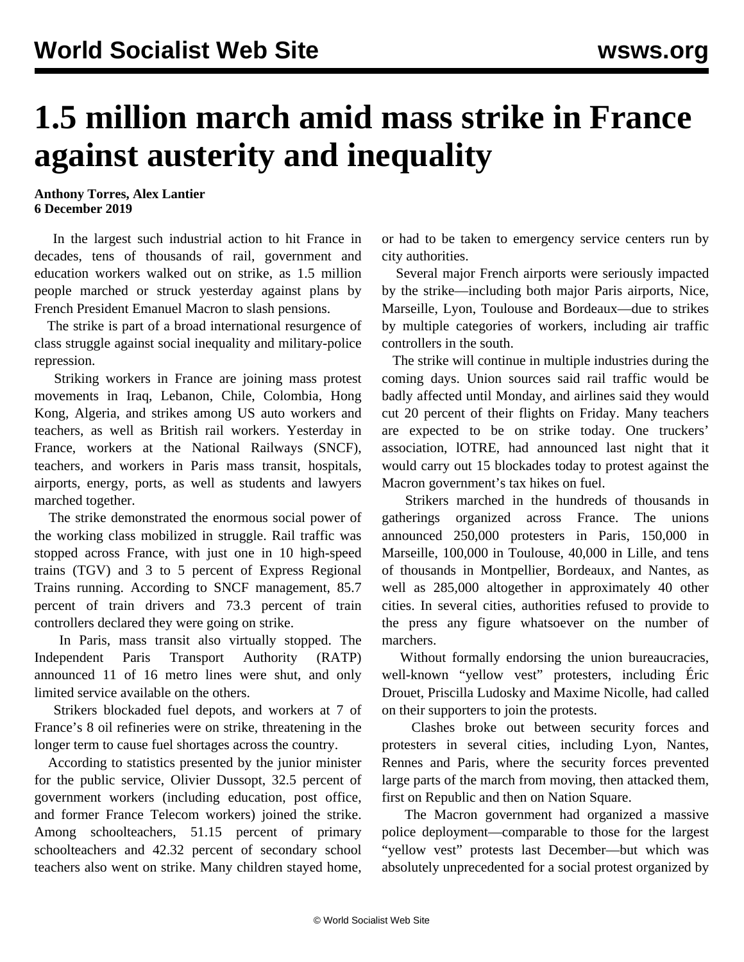## **1.5 million march amid mass strike in France against austerity and inequality**

**Anthony Torres, Alex Lantier 6 December 2019**

 In the largest such industrial action to hit France in decades, tens of thousands of rail, government and education workers walked out on strike, as 1.5 million people marched or struck yesterday against plans by French President Emanuel Macron to slash pensions.

 The strike is part of a broad international resurgence of class struggle against social inequality and military-police repression.

 Striking workers in France are joining mass protest movements in Iraq, Lebanon, Chile, Colombia, Hong Kong, Algeria, and strikes among US auto workers and teachers, as well as British rail workers. Yesterday in France, workers at the National Railways (SNCF), teachers, and workers in Paris mass transit, hospitals, airports, energy, ports, as well as students and lawyers marched together.

 The strike demonstrated the enormous social power of the working class mobilized in struggle. Rail traffic was stopped across France, with just one in 10 high-speed trains (TGV) and 3 to 5 percent of Express Regional Trains running. According to SNCF management, 85.7 percent of train drivers and 73.3 percent of train controllers declared they were going on strike.

 In Paris, mass transit also virtually stopped. The Independent Paris Transport Authority (RATP) announced 11 of 16 metro lines were shut, and only limited service available on the others.

 Strikers blockaded fuel depots, and workers at 7 of France's 8 oil refineries were on strike, threatening in the longer term to cause fuel shortages across the country.

 According to statistics presented by the junior minister for the public service, Olivier Dussopt, 32.5 percent of government workers (including education, post office, and former France Telecom workers) joined the strike. Among schoolteachers, 51.15 percent of primary schoolteachers and 42.32 percent of secondary school teachers also went on strike. Many children stayed home,

or had to be taken to emergency service centers run by city authorities.

 Several major French airports were seriously impacted by the strike—including both major Paris airports, Nice, Marseille, Lyon, Toulouse and Bordeaux—due to strikes by multiple categories of workers, including air traffic controllers in the south.

 The strike will continue in multiple industries during the coming days. Union sources said rail traffic would be badly affected until Monday, and airlines said they would cut 20 percent of their flights on Friday. Many teachers are expected to be on strike today. One truckers' association, lOTRE, had announced last night that it would carry out 15 blockades today to protest against the Macron government's tax hikes on fuel.

 Strikers marched in the hundreds of thousands in gatherings organized across France. The unions announced 250,000 protesters in Paris, 150,000 in Marseille, 100,000 in Toulouse, 40,000 in Lille, and tens of thousands in Montpellier, Bordeaux, and Nantes, as well as 285,000 altogether in approximately 40 other cities. In several cities, authorities refused to provide to the press any figure whatsoever on the number of marchers.

 Without formally endorsing the union bureaucracies, well-known "yellow vest" protesters, including Éric Drouet, Priscilla Ludosky and Maxime Nicolle, had called on their supporters to join the protests.

 Clashes broke out between security forces and protesters in several cities, including Lyon, Nantes, Rennes and Paris, where the security forces prevented large parts of the march from moving, then attacked them, first on Republic and then on Nation Square.

 The Macron government had organized a massive police deployment—comparable to those for the largest "yellow vest" protests last December—but which was absolutely unprecedented for a social protest organized by